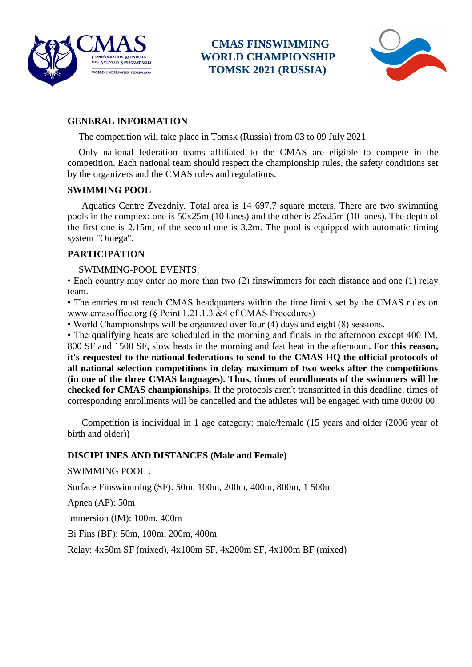

 **CMAS FINSWIMMING** CONFÉDÉRATION MONDIALE **WORLD CHAMPIONSHIP TOMSK 2021 (RUSSIA)** 



# **GENERAL INFORMATION**

The competition will take place in Tomsk (Russia) from 03 to 09 July 2021.

Only national federation teams affiliated to the CMAS are eligible to compete in the competition. Each national team should respect the championship rules, the safety conditions set by the organizers and the CMAS rules and regulations.

#### **SWIMMING POOL**

Aquatics Centre Zvezdniy. Total area is 14 697.7 square meters. There are two swimming pools in the complex: one is 50x25m (10 lanes) and the other is 25x25m (10 lanes). The depth of the first one is 2.15m, of the second one is 3.2m. The pool is equipped with automatic timing system "Omega".

### **PARTICIPATION**

SWIMMING-POOL EVENTS:

• Each country may enter no more than two (2) finswimmers for each distance and one (1) relay team.

• The entries must reach CMAS headquarters within the time limits set by the CMAS rules on www.cmasoffice.org (§ Point 1.21.1.3 &4 of CMAS Procedures)

• World Championships will be organized over four (4) days and eight (8) sessions.

• The qualifying heats are scheduled in the morning and finals in the afternoon except 400 IM, 800 SF and 1500 SF, slow heats in the morning and fast heat in the afternoon**. For this reason, it's requested to the national federations to send to the CMAS HQ the official protocols of all national selection competitions in delay maximum of two weeks after the competitions (in one of the three CMAS languages). Thus, times of enrollments of the swimmers will be checked for CMAS championships.** If the protocols aren't transmitted in this deadline, times of corresponding enrollments will be cancelled and the athletes will be engaged with time 00:00:00.

 Competition is individual in 1 age category: male/female (15 years and older (2006 year of birth and older))

#### **DISCIPLINES AND DISTANCES (Male and Female)**

SWIMMING POOL :

Surface Finswimming (SF): 50m, 100m, 200m, 400m, 800m, 1 500m

Apnea (AP): 50m

Immersion (IM): 100m, 400m

Bi Fins (BF): 50m, 100m, 200m, 400m

Relay: 4x50m SF (mixed), 4x100m SF, 4x200m SF, 4x100m BF (mixed)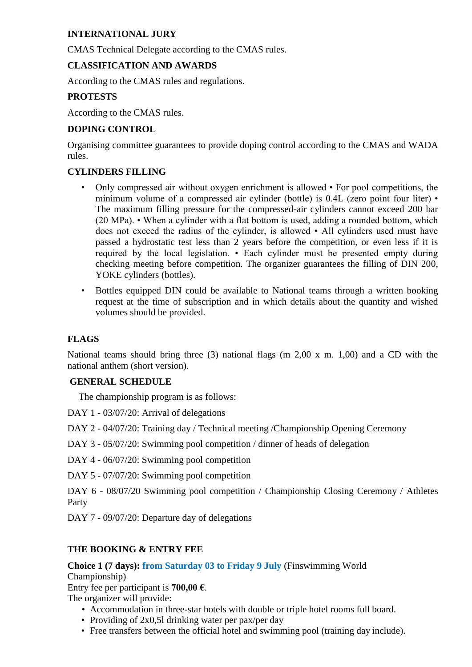# **INTERNATIONAL JURY**

CMAS Technical Delegate according to the CMAS rules.

### **CLASSIFICATION AND AWARDS**

According to the CMAS rules and regulations.

# **PROTESTS**

According to the CMAS rules.

# **DOPING CONTROL**

Organising committee guarantees to provide doping control according to the CMAS and WADA rules.

# **CYLINDERS FILLING**

- Only compressed air without oxygen enrichment is allowed For pool competitions, the minimum volume of a compressed air cylinder (bottle) is 0.4L (zero point four liter) • The maximum filling pressure for the compressed-air cylinders cannot exceed 200 bar (20 MPa). • When a cylinder with a flat bottom is used, adding a rounded bottom, which does not exceed the radius of the cylinder, is allowed • All cylinders used must have passed a hydrostatic test less than 2 years before the competition, or even less if it is required by the local legislation. • Each cylinder must be presented empty during checking meeting before competition. The organizer guarantees the filling of DIN 200, YOKE cylinders (bottles).
- Bottles equipped DIN could be available to National teams through a written booking request at the time of subscription and in which details about the quantity and wished volumes should be provided.

### **FLAGS**

National teams should bring three (3) national flags (m 2,00 x m. 1,00) and a CD with the national anthem (short version).

### **GENERAL SCHEDULE**

The championship program is as follows:

DAY 1 - 03/07/20: Arrival of delegations

DAY 2 - 04/07/20: Training day / Technical meeting /Championship Opening Ceremony

- DAY 3 05/07/20: Swimming pool competition / dinner of heads of delegation
- DAY 4 06/07/20: Swimming pool competition
- DAY 5 07/07/20: Swimming pool competition
- DAY 6 08/07/20 Swimming pool competition / Championship Closing Ceremony / Athletes Party
- DAY 7 09/07/20: Departure day of delegations

# **THE BOOKING & ENTRY FEE**

**Choice 1 (7 days): from Saturday 03 to Friday 9 July** (Finswimming World Championship)

Entry fee per participant is **700,00 €**.

The organizer will provide:

- Accommodation in three-star hotels with double or triple hotel rooms full board.
- Providing of 2x0,51 drinking water per pax/per day
- Free transfers between the official hotel and swimming pool (training day include).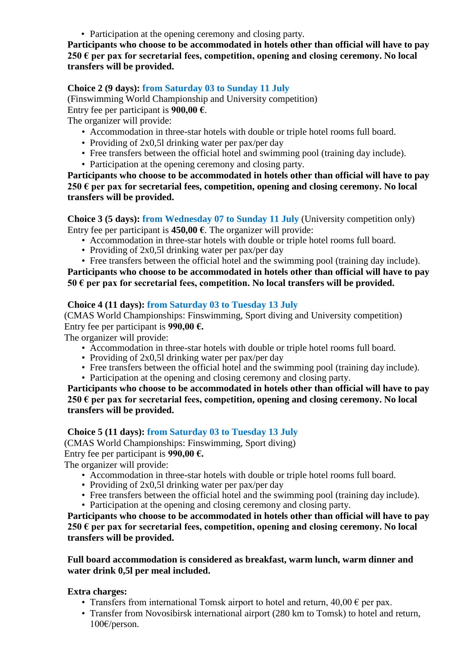• Participation at the opening ceremony and closing party.

**Participants who choose to be accommodated in hotels other than official will have to pay 250 € per pax for secretarial fees, competition, opening and closing ceremony. No local transfers will be provided.**

### **Choice 2 (9 days): from Saturday 03 to Sunday 11 July**

(Finswimming World Championship and University competition) Entry fee per participant is **900,00 €**.

The organizer will provide:

- Accommodation in three-star hotels with double or triple hotel rooms full board.
- Providing of 2x0,51 drinking water per pax/per day
- Free transfers between the official hotel and swimming pool (training day include).
- Participation at the opening ceremony and closing party.

**Participants who choose to be accommodated in hotels other than official will have to pay 250 € per pax for secretarial fees, competition, opening and closing ceremony. No local transfers will be provided.**

**Choice 3 (5 days): from Wednesday 07 to Sunday 11 July** (University competition only) Entry fee per participant is **450,00 €**. The organizer will provide:

- Accommodation in three-star hotels with double or triple hotel rooms full board.
- Providing of 2x0,51 drinking water per pax/per day
- Free transfers between the official hotel and the swimming pool (training day include).

# **Participants who choose to be accommodated in hotels other than official will have to pay 50 € per pax for secretarial fees, competition. No local transfers will be provided.**

### **Choice 4 (11 days): from Saturday 03 to Tuesday 13 July**

(CMAS World Championships: Finswimming, Sport diving and University competition) Entry fee per participant is **990,00 €.**

The organizer will provide:

- Accommodation in three-star hotels with double or triple hotel rooms full board.
- Providing of 2x0,51 drinking water per pax/per day
- Free transfers between the official hotel and the swimming pool (training day include).
- Participation at the opening and closing ceremony and closing party.

**Participants who choose to be accommodated in hotels other than official will have to pay 250 € per pax for secretarial fees, competition, opening and closing ceremony. No local transfers will be provided.**

#### **Choice 5 (11 days): from Saturday 03 to Tuesday 13 July**

(CMAS World Championships: Finswimming, Sport diving)

Entry fee per participant is **990,00 €.**

The organizer will provide:

- Accommodation in three-star hotels with double or triple hotel rooms full board.
- Providing of 2x0,51 drinking water per pax/per day
- Free transfers between the official hotel and the swimming pool (training day include).
- Participation at the opening and closing ceremony and closing party.

**Participants who choose to be accommodated in hotels other than official will have to pay 250 € per pax for secretarial fees, competition, opening and closing ceremony. No local transfers will be provided.**

**Full board accommodation is considered as breakfast, warm lunch, warm dinner and water drink 0,5l per meal included.**

**Extra charges:**

- Transfers from international Tomsk airport to hotel and return,  $40.00 \in$  per pax.
- Transfer from Novosibirsk international airport (280 km to Tomsk) to hotel and return, 100€/person.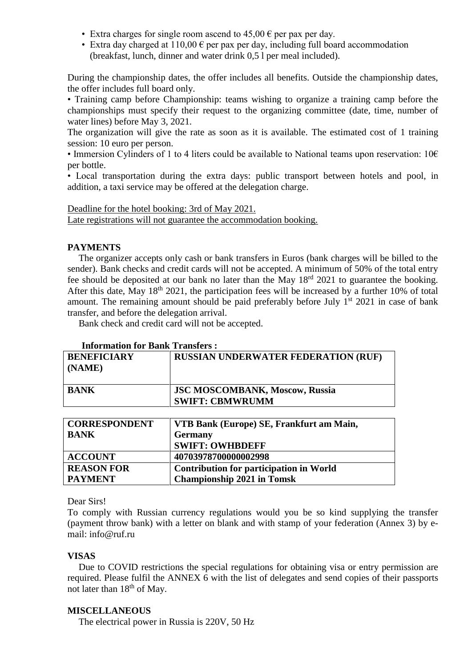- Extra charges for single room ascend to  $45.00 \in \text{per }$  pax per day.
- Extra day charged at  $110,00 \in$  per pax per day, including full board accommodation (breakfast, lunch, dinner and water drink 0,5 l per meal included).

During the championship dates, the offer includes all benefits. Outside the championship dates, the offer includes full board only.

• Training camp before Championship: teams wishing to organize a training camp before the championships must specify their request to the organizing committee (date, time, number of water lines) before May 3, 2021.

The organization will give the rate as soon as it is available. The estimated cost of 1 training session: 10 euro per person.

• Immersion Cylinders of 1 to 4 liters could be available to National teams upon reservation: 10€ per bottle.

• Local transportation during the extra days: public transport between hotels and pool, in addition, a taxi service may be offered at the delegation charge.

Deadline for the hotel booking: 3rd of May 2021. Late registrations will not guarantee the accommodation booking.

# **PAYMENTS**

The organizer accepts only cash or bank transfers in Euros (bank charges will be billed to the sender). Bank checks and credit cards will not be accepted. A minimum of 50% of the total entry fee should be deposited at our bank no later than the May 18rd 2021 to guarantee the booking. After this date, May  $18<sup>th</sup> 2021$ , the participation fees will be increased by a further 10% of total amount. The remaining amount should be paid preferably before July  $1<sup>st</sup> 2021$  in case of bank transfer, and before the delegation arrival.

Bank check and credit card will not be accepted.

#### **Information for Bank Transfers :**

| <b>BENEFICIARY</b><br>$\overline{\phantom{a}}$ (NAME) | <b>RUSSIAN UNDERWATER FEDERATION (RUF)</b>                      |
|-------------------------------------------------------|-----------------------------------------------------------------|
| <b>BANK</b>                                           | <b>JSC MOSCOMBANK, Moscow, Russia</b><br><b>SWIFT: CBMWRUMM</b> |

| <b>CORRESPONDENT</b> | VTB Bank (Europe) SE, Frankfurt am Main,       |
|----------------------|------------------------------------------------|
| <b>BANK</b>          | <b>Germany</b>                                 |
|                      | <b>SWIFT: OWHBDEFF</b>                         |
| <b>ACCOUNT</b>       | 40703978700000002998                           |
| <b>REASON FOR</b>    | <b>Contribution for participation in World</b> |
| <b>PAYMENT</b>       | <b>Championship 2021 in Tomsk</b>              |

# Dear Sirs!

To comply with Russian currency regulations would you be so kind supplying the transfer (payment throw bank) with a letter on blank and with stamp of your federation (Annex 3) by email: info@ruf.ru

#### **VISAS**

Due to COVID restrictions the special regulations for obtaining visa or entry permission are required. Please fulfil the ANNEX 6 with the list of delegates and send copies of their passports not later than 18<sup>th</sup> of May.

### **MISCELLANEOUS**

The electrical power in Russia is 220V, 50 Hz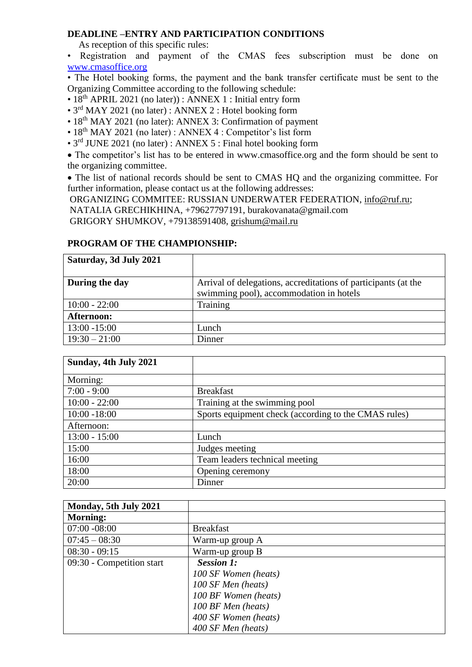### **DEADLINE –ENTRY AND PARTICIPATION CONDITIONS**

As reception of this specific rules:

• Registration and payment of the CMAS fees subscription must be done on [www.cmasoffice.org](http://www.cmasoffice.org/)

• The Hotel booking forms, the payment and the bank transfer certificate must be sent to the Organizing Committee according to the following schedule:

- 18<sup>th</sup> APRIL 2021 (no later)) : ANNEX 1 : Initial entry form
- 3<sup>rd</sup> MAY 2021 (no later) : ANNEX 2 : Hotel booking form
- 18<sup>th</sup> MAY 2021 (no later): ANNEX 3: Confirmation of payment
- 18<sup>th</sup> MAY 2021 (no later) : ANNEX 4 : Competitor's list form
- 3<sup>rd</sup> JUNE 2021 (no later) : ANNEX 5 : Final hotel booking form

 The competitor's list has to be entered in www.cmasoffice.org and the form should be sent to the organizing committee.

• The list of national records should be sent to CMAS HQ and the organizing committee. For further information, please contact us at the following addresses:

ORGANIZING COMMITEE: RUSSIAN UNDERWATER FEDERATION, [info@ruf.ru;](https://e.mail.ru/compose?To=info@ruf.ru)

NATALIA GRECHIKHINA, +79627797191, burakovanata@gmail.com

GRIGORY SHUMKOV, +79138591408, [grishum@mail.ru](mailto:grishum@mail.ru)

### **PROGRAM OF THE CHAMPIONSHIP:**

| Saturday, 3d July 2021 |                                                                |
|------------------------|----------------------------------------------------------------|
|                        |                                                                |
| During the day         | Arrival of delegations, accreditations of participants (at the |
|                        | swimming pool), accommodation in hotels                        |
| $10:00 - 22:00$        | Training                                                       |
| Afternoon:             |                                                                |
| $13:00 - 15:00$        | Lunch                                                          |
| $19:30 - 21:00$        | Dinner                                                         |

| Sunday, 4th July 2021 |                                                      |
|-----------------------|------------------------------------------------------|
| Morning:              |                                                      |
| $7:00 - 9:00$         | <b>Breakfast</b>                                     |
| $10:00 - 22:00$       | Training at the swimming pool                        |
| $10:00 - 18:00$       | Sports equipment check (according to the CMAS rules) |
| Afternoon:            |                                                      |
| $13:00 - 15:00$       | Lunch                                                |
| 15:00                 | Judges meeting                                       |
| 16:00                 | Team leaders technical meeting                       |
| 18:00                 | Opening ceremony                                     |
| 20:00                 | Dinner                                               |

| Monday, 5th July 2021     |                      |
|---------------------------|----------------------|
| <b>Morning:</b>           |                      |
| $07:00 - 08:00$           | <b>Breakfast</b>     |
| $07:45 - 08:30$           | Warm-up group A      |
| $08:30 - 09:15$           | Warm-up group B      |
| 09:30 - Competition start | <b>Session 1:</b>    |
|                           | 100 SF Women (heats) |
|                           | 100 SF Men (heats)   |
|                           | 100 BF Women (heats) |
|                           | 100 BF Men (heats)   |
|                           | 400 SF Women (heats) |
|                           | 400 SF Men (heats)   |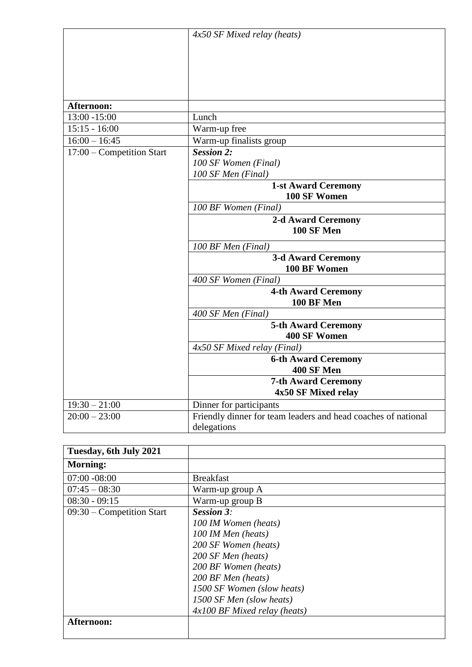|                           | $4x50$ SF Mixed relay (heats)                                 |
|---------------------------|---------------------------------------------------------------|
|                           |                                                               |
|                           |                                                               |
|                           |                                                               |
| Afternoon:                |                                                               |
| 13:00 -15:00              | Lunch                                                         |
| $15:15 - 16:00$           | Warm-up free                                                  |
| $16:00 - 16:45$           | Warm-up finalists group                                       |
| 17:00 – Competition Start | <b>Session 2:</b>                                             |
|                           | 100 SF Women (Final)                                          |
|                           | 100 SF Men (Final)                                            |
|                           | <b>1-st Award Ceremony</b>                                    |
|                           | 100 SF Women                                                  |
|                           | 100 BF Women (Final)                                          |
|                           | 2-d Award Ceremony                                            |
|                           | <b>100 SF Men</b>                                             |
|                           | 100 BF Men (Final)                                            |
|                           | <b>3-d Award Ceremony</b>                                     |
|                           | 100 BF Women                                                  |
|                           | 400 SF Women (Final)                                          |
|                           | <b>4-th Award Ceremony</b>                                    |
|                           | <b>100 BF Men</b>                                             |
|                           | 400 SF Men (Final)                                            |
|                           | <b>5-th Award Ceremony</b><br><b>400 SF Women</b>             |
|                           | $4x50$ SF Mixed relay (Final)                                 |
|                           | <b>6-th Award Ceremony</b>                                    |
|                           | <b>400 SF Men</b>                                             |
|                           | <b>7-th Award Ceremony</b>                                    |
|                           | 4x50 SF Mixed relay                                           |
| $19:30 - 21:00$           | Dinner for participants                                       |
| $20:00 - 23:00$           | Friendly dinner for team leaders and head coaches of national |
|                           | delegations                                                   |

| Tuesday, 6th July 2021      |                                |
|-----------------------------|--------------------------------|
| <b>Morning:</b>             |                                |
| $07:00 - 08:00$             | <b>Breakfast</b>               |
| $07:45 - 08:30$             | Warm-up group A                |
| $08:30 - 09:15$             | Warm-up group B                |
| $09:30$ – Competition Start | <b>Session 3:</b>              |
|                             | 100 IM Women (heats)           |
|                             | 100 IM Men (heats)             |
|                             | 200 SF Women (heats)           |
|                             | 200 SF Men (heats)             |
|                             | 200 BF Women (heats)           |
|                             | 200 BF Men (heats)             |
|                             | 1500 SF Women (slow heats)     |
|                             | 1500 SF Men (slow heats)       |
|                             | $4x100$ BF Mixed relay (heats) |
| Afternoon:                  |                                |
|                             |                                |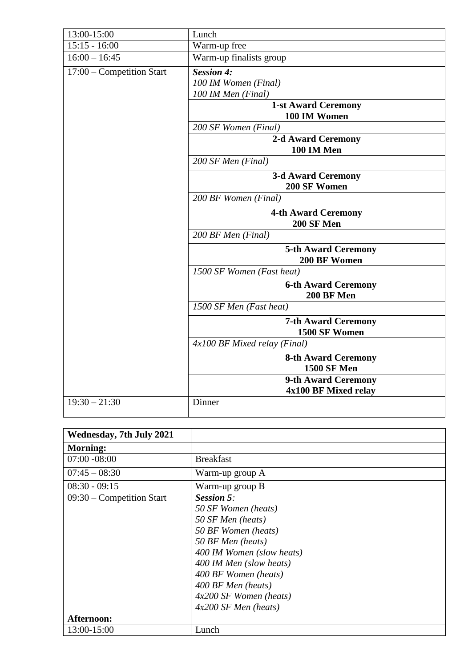| 13:00-15:00               | Lunch                        |
|---------------------------|------------------------------|
| $15:15 - 16:00$           | Warm-up free                 |
|                           |                              |
| $16:00 - 16:45$           | Warm-up finalists group      |
| 17:00 – Competition Start | <b>Session 4:</b>            |
|                           | 100 IM Women (Final)         |
|                           | 100 IM Men (Final)           |
|                           | <b>1-st Award Ceremony</b>   |
|                           | 100 IM Women                 |
|                           | 200 SF Women (Final)         |
|                           | <b>2-d Award Ceremony</b>    |
|                           | 100 IM Men                   |
|                           | 200 SF Men (Final)           |
|                           | <b>3-d Award Ceremony</b>    |
|                           | 200 SF Women                 |
|                           | 200 BF Women (Final)         |
|                           | <b>4-th Award Ceremony</b>   |
|                           | <b>200 SF Men</b>            |
|                           | 200 BF Men (Final)           |
|                           | <b>5-th Award Ceremony</b>   |
|                           | 200 BF Women                 |
|                           | 1500 SF Women (Fast heat)    |
|                           | <b>6-th Award Ceremony</b>   |
|                           | 200 BF Men                   |
|                           | 1500 SF Men (Fast heat)      |
|                           | <b>7-th Award Ceremony</b>   |
|                           | 1500 SF Women                |
|                           | 4x100 BF Mixed relay (Final) |
|                           | <b>8-th Award Ceremony</b>   |
|                           | <b>1500 SF Men</b>           |
|                           | 9-th Award Ceremony          |
|                           | 4x100 BF Mixed relay         |
| $19:30 - 21:30$           | Dinner                       |

| <b>Wednesday, 7th July 2021</b> |                                                                                                                                                                                                                                                                       |
|---------------------------------|-----------------------------------------------------------------------------------------------------------------------------------------------------------------------------------------------------------------------------------------------------------------------|
| <b>Morning:</b>                 |                                                                                                                                                                                                                                                                       |
| $07:00 - 08:00$                 | <b>Breakfast</b>                                                                                                                                                                                                                                                      |
| $07:45 - 08:30$                 | Warm-up group A                                                                                                                                                                                                                                                       |
| $08:30 - 09:15$                 | Warm-up group B                                                                                                                                                                                                                                                       |
| $09:30$ – Competition Start     | <b>Session 5:</b><br>50 SF Women (heats)<br>50 SF Men (heats)<br>50 BF Women (heats)<br>50 BF Men (heats)<br>400 IM Women (slow heats)<br>400 IM Men (slow heats)<br>400 BF Women (heats)<br>400 BF Men (heats)<br>$4x200$ SF Women (heats)<br>$4x200$ SF Men (heats) |
| Afternoon:                      |                                                                                                                                                                                                                                                                       |
| 13:00-15:00                     | Lunch                                                                                                                                                                                                                                                                 |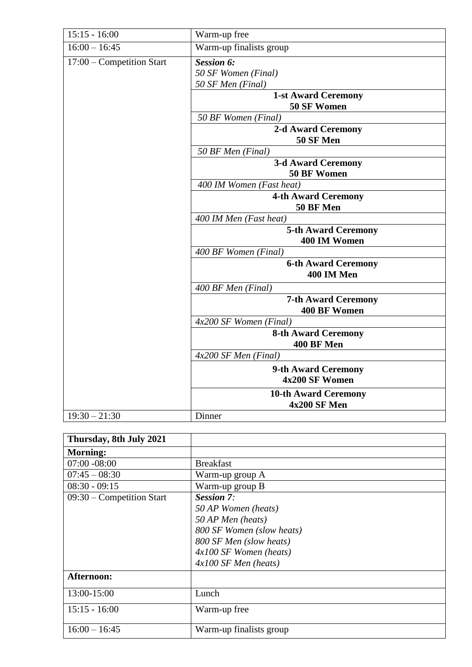| $15:15 - 16:00$           | Warm-up free                                                  |
|---------------------------|---------------------------------------------------------------|
| $16:00 - 16:45$           | Warm-up finalists group                                       |
| 17:00 - Competition Start | <b>Session 6:</b><br>50 SF Women (Final)<br>50 SF Men (Final) |
|                           | <b>1-st Award Ceremony</b><br>50 SF Women                     |
|                           | 50 BF Women (Final)                                           |
|                           | <b>2-d Award Ceremony</b><br>50 SF Men                        |
|                           | 50 BF Men (Final)                                             |
|                           | <b>3-d Award Ceremony</b><br>50 BF Women                      |
|                           | 400 IM Women (Fast heat)                                      |
|                           | <b>4-th Award Ceremony</b>                                    |
|                           | 50 BF Men<br>400 IM Men (Fast heat)                           |
|                           | <b>5-th Award Ceremony</b><br>400 IM Women                    |
|                           | 400 BF Women (Final)                                          |
|                           | <b>6-th Award Ceremony</b><br>400 IM Men                      |
|                           | 400 BF Men (Final)                                            |
|                           | <b>7-th Award Ceremony</b><br><b>400 BF Women</b>             |
|                           | $4x200$ SF Women (Final)                                      |
|                           | <b>8-th Award Ceremony</b><br>400 BF Men                      |
|                           | $4x200$ SF Men (Final)                                        |
|                           | 9-th Award Ceremony<br>4x200 SF Women                         |
|                           | <b>10-th Award Ceremony</b>                                   |
|                           | 4x200 SF Men                                                  |
| $19:30 - 21:30$           | Dinner                                                        |

| Thursday, 8th July 2021     |                           |
|-----------------------------|---------------------------|
| <b>Morning:</b>             |                           |
| $07:00 - 08:00$             | <b>Breakfast</b>          |
| $07:45 - 08:30$             | Warm-up group A           |
| $08:30 - 09:15$             | Warm-up group B           |
| $09:30$ – Competition Start | <b>Session 7:</b>         |
|                             | 50 AP Women (heats)       |
|                             | 50 AP Men (heats)         |
|                             | 800 SF Women (slow heats) |
|                             | 800 SF Men (slow heats)   |
|                             | $4x100$ SF Women (heats)  |
|                             | $4x100$ SF Men (heats)    |
| Afternoon:                  |                           |
| 13:00-15:00                 | Lunch                     |
| $15:15 - 16:00$             | Warm-up free              |
| $16:00 - 16:45$             | Warm-up finalists group   |